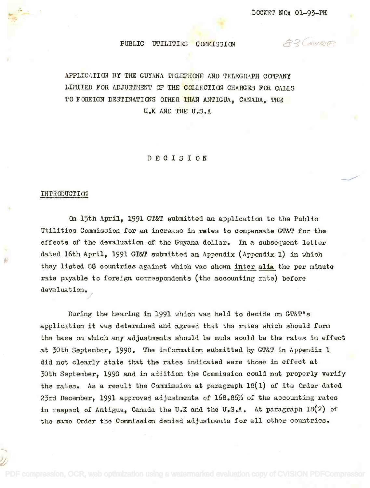Q2 COUNTRICE

# PUBLIC UTILITIES COMMISSION

APPLICATION BY THE GUYANA TELEPHONE AND TELEGRAPH COMPANY LIMITED FOR ADJUSTMENT OF THE COLLECTION CHARGES FOR CALLS TO FOREIGN DESTINATIONS OTHER THAN ANTIGUA, CANADA, THE 11.1( AND THE U.S.A U.K AND THE U.S.A

DECISION

### INTRODUCTION

On 15th April, 1991 GT&T submitted an application to the Public On 15th April, 1991 GT&T submitted an application to the Public Utilities Commission for an increase in rates to compensate GT&T for the Utilities Commission for an increase in rates to compensate GT&T for the effects of the devaluation of the Guyana dollar. In a subsequent letter effects of the devaluation of the Guyana dollar. In a subsequent letter dated 16th April, 1991 GT&T submitted an Appendix (Appendix 1) in which dated 16th April, 1991 GT&T Bubmitted an Appendix (Appendix 1) in which they listed 88 countries against which was shown <u>inter alia</u> the per minute rate payable to foreign correspondents (the accounting rate) before rate payable to foreign oorrespondents (the aocounting rate) before devaluation. devaluation.

During the hearing in 1991 which was held to decide an GT&T's During the hearing in 1991 which was held to decide on GT&T's application it was determined and agreed that the rates which should form application it was determined and agreed that the rates which should form the base on which any adjustments should be made would be the rates in effect the base on which any adjustments should be made would be the rates in effect at 30th September, 1990. The information submitted by GT&T in Appendix 1 at 30th September, 1990. The information submitted by GT&T in Appendix 1 did not clearly state that the rates indicated were those in effect at did not clearly state that the rates indicated were those in effect at 30th September, 1990 and in addition the Commission could not properly verify 30th September, 1990 and in addition the Commission could not properly verify the rates. As a result the Commission at paragraph  $18(1)$  of its Order dated 23rd December, 1991 approved adjustments of 168.86% of the accounting rates in respect of Antigua, Canada the U.K and the U.S.A. At paragraph 18(2) of in respect of Antigua, Canada the U.K and the U.S.A. At paragraph 18(2) of the same Order the Commission denied adjustments for all other countries, the same Order the Commission denied adjustments for all other countries.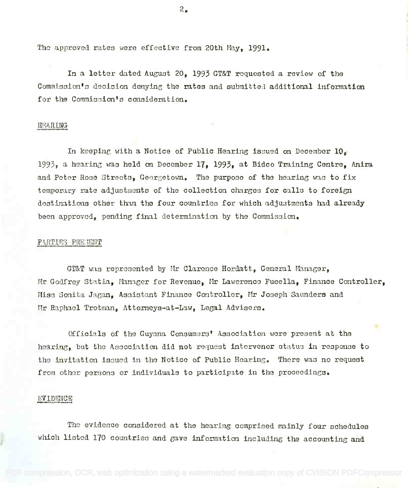The approved rates were effective from 20th May, 1991.

In a letter dated August 20, 1993 GT&T requested a review of the  ${\tt Commission}$ 's decision denying the rates and submitted additional information for the Commission's consideration.

### HEkRING

In keeping with a Notice of Public Hearing issued on December  $10<sub>g</sub>$ 1993, a hearing was held on December 1**7, 1993, at Bidco Training Centre, Anira** and Peter Rose Streets, Georgetown. The purpose of the hearing was to fix temporary rate adjustments of the collection charges for calls to foreign destinations other than the four countries for which adjustments had already been approved, pending final determination by the Commission.

### PARTIES PREGENT

GT&T was represented by Mr Clarence Hordatt, General Manager, Mr Godfrey Statia, Manager for Revenue, Mr Lawerence Fucella, Finance Controller, Miss Sonita Jagan, Assistant Finance Controller, Mr Joseph Saunders and Mr Raphael Trotman, Attorneys-at-Law, Legal Advisers.

Officials of the Guyana Consumers' Association were present at the hearing, but the Association did not request intervenor status in response to the invitation issued in the Notice of Public Hearing. There was no request from othor persons or individuals to participate in the proceedings.

#### EVIDENCE

The evidence considered at the hearing comprised mainly four schedules The evidence oonsidered at the hearing comprised mainly four schedules which listed 170 countries and gave information including the accounting and which listed 1'70 countries and gave information including the accounting and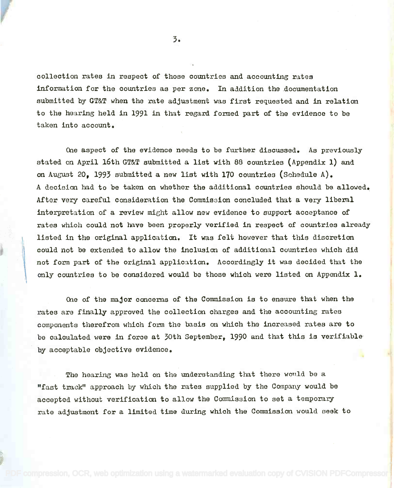collection rates in respect of those countries and accounting rates colleotion rates in respect of those countries and accounting rates information for the countries as per zone. In addition the documentation information for the countries as per zone. In addition the documentation submitted by GT&T when the rate adjustment was first requested and in relation submitted by GT&T when the rate adjustment was first requested and in relation to the hearing held in 1991 in that regard formed part of the evidence to be to the hearing held in 1991 in that regard fonned part of the evidence to be taken into account. taken into account.

One aspect of the evidence needs to be further discussed. As previously One aspect of the evidence needs to be further discussed. As previously stated on April 16th GMT submitted a list with 88 countries (Appendix 1) and stated on April 16th GT&T submitted a list with 88 countries (Appendix 1) and on August 20, 1993 submitted a new list with 170 countries (Schedule A). A decision had to be taken on whether the additional countries should be allowed. A decision had to be taken on whether the additional countries should be allowed. After very careful consideration the Commission concluded that a very liberal interpretation of a review might allow new evidence to support acceptance of interpretation of a review might allow new evidence to support acceptance of rates which could not have been properly verified in respect of countries already listed in the original application. It was felt however that this discretion listed in the original application. It was felt however that this discretion could not be extended to allow the inclusion of additional countries which did could not be extended to allow the inclusion of additional countries which did not form part of the original application. Accordingly it was decided that the not form part of the original application. Accordingly it *was* decided that the only countries to be considered would be those which were listed on Appendix 1. only countries to be considered would be those which were listed on Appendix 1.

One of the major concerns of the Commission is to ensure that when the One of the major concerns of the Commission is to ensure that when the rates are finally approved the collection charges and the accounting rates rates are finally approved the collection charges and the accounting rates components therefrom which form the basis on which the increased rates are to  $\qquad$ be calculated were in force at 30th September, 1990 and that this is verifiable by acceptable objective evidence. by acceptable objective evidence.

The hearing was held on the understanding that there would be a The hearing was held on the understanding that there would be a "fast track" approach by which the rates supplied by the Company would be "fast track" approach by which the rates supplied by the Company would be accepted without verification to allow the Commission to set a temporary accepted without verification to allow the Commission to set a temporary rate adjustment for a limited time during which the Commission would seek to rate adjustment for a limited time during which the Commission would seek to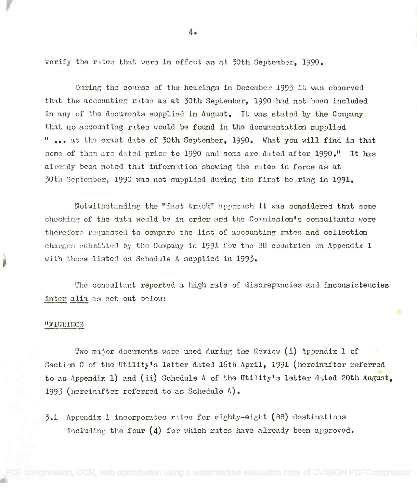verify the rttes that were in effect as at 30th September, 1990.

During the course of the hearings in December 1993 it was observed that the accounting rates as at 30th September, 1990 had not been included in any of the documents supplied in August. It was stated by the Company that no accounting rates would be found in the documentation supplied " ... at the exact date of 30th September, 1990. What you will find is that some of them are dated prior to 1990 and some are dated after 1990." It has already been noted that information showing the rates in force as at 30th September, 1990 was not supplied during the first hearing in 1991.

Notwithstanding the "fast track" approach it was considered that some checking of the data would be in order and the Commission's consultants were therefore requested to compare the list of accounting rates and collection charges submitted by the Company in 1991 for the 88 countries on Appendix 1 with those listed on Schedule A supplied in 1993. with thane listed on Schedule A supplied in 1993.

The consultant reported a high rate of discrepancies and inconsistencies inter alia as set out below:

# "FIUDINGS

re de la companya de la companya de la companya de la companya de la companya de la companya de la companya de

Two major documents were used during the Review (i) Appendix 1 of Section C of the Utility's letter dated 16th April, 1991 (hereinafter referred Section C of the utility's letter dated 16th April, 1991 (hereinafter referred to as Appendix 1) and (ii) Schedule A of the Utility's letter dated 20th August, 1993 (hereinafter referred to as Schedule A).

 $3.1$  Appendix 1 incorporates rates for eighty-eight (88) destinations including the four  $(4)$  for which rates have already been approved.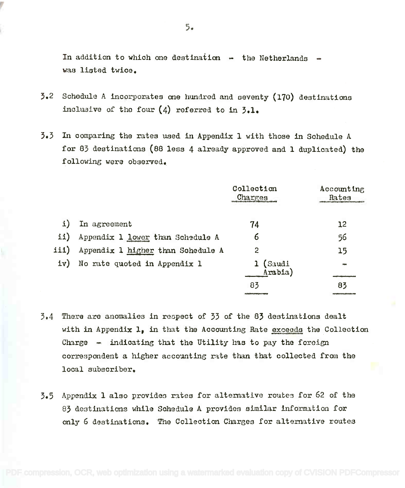In addition to which one destination  $-$  the Netherlands  $$ was listed twice. was listed twice.

- $5.2$  Schedule A incorporates one hundred and seventy (170) destinations inclusive of the four (4) referred to in 3.1. incluaive of the four (4) referred to in **;.1.**
- $3.3$  In comparing the rates used in Appendix 1 with those in Schedule A for 83 destinations (88 less 4 already approved and 1 duplicated) the following were observed. following were observed.

|          |                                   | Collection<br>Charges                    | Accounting<br>Rates                         |  |
|----------|-----------------------------------|------------------------------------------|---------------------------------------------|--|
|          | In agreement                      | 74                                       | 12                                          |  |
| $\pm$ 1) | Appendix 1 lower than Schedule A  | 6                                        | 56                                          |  |
| iii)     | Appendix 1 higher than Schedule A | 2                                        | 15                                          |  |
| iv)      | No rate quoted in Appendix 1      | (Saudi<br>Arabia)                        |                                             |  |
|          |                                   | 83                                       | 83                                          |  |
|          |                                   | <b>CONTRACTOR CONTRACTOR AND INCOME.</b> | Personal Property of the Contract of the Co |  |

- 3.4 There are anomalies in respect of 33 of the 83 destinations dealt 3.4 There are anomalies in respeot of 33 of the 83 destinations dealt with in Appendix 1, in that the Accounting Rate exceeds the Collection Charge  $-$  indicating that the Utility has to pay the foreign correspondent a higher accounting rate than that collected from the local subscriber. local subscriber.
- $5.5$  Appendix 1 also provides rates for alternative routes for 62 of the 83 destinations while Schedule A provides similar information for only 6 destinations. The Collection Charges for alternative routes only 6 destinations. The Collection Char~es for alternative routes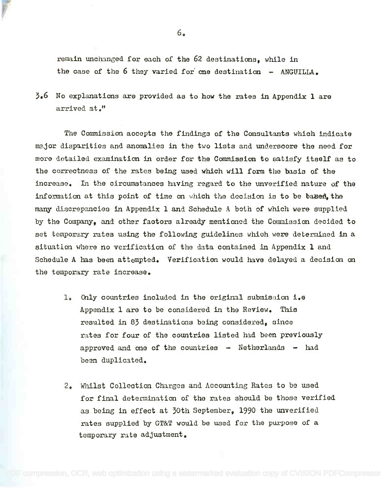remain unchanged for each of the 62 destinations, while in the case of the 6 they varied for one destination - ANGUILLA.

 $5.6$  No explanations are provided as to how the rates in Appendix 1 are arrived at." arrived at.1t

The Commission accepts the findings of the Consultants which indicate The Commissionaccepts the findings of the Consultants whioh indicate major disparities and anomalies in the two lists and underscore the need for ma.jor disparities and anomalies in the two lists and underscore the need for more detailed examination in order for the Commission to satisfy itself as to more dotailed examination in order for the Commissionto satisfy itself as to the correctness of the rates being used which will form the basis of the the correctness of the rates being used which will form the basis of the increase. In the circumstances having regard to the unverified nature of the increase. In the circumstances having regard to the unverified nature of the information at this point of time on which the decision is to be based, the many discrepancies in Appendix 1 and Schedule A both of which were supplied by the Company, and other factors already mentioned the Commission decided to set temporary rates using the following guidelines which were determined in a situation where no verification of the data contained in Appendix 1 and Schedule A has been attempted. Verification would have delayed a decision on Schedule A bas been attempted. Verification would have delayed a decision on the temporary rate increase. the temporary rate increase.

- 1. Only countries included in the original submission i.e **1.** Chly oountries included in the original submis3ion i.e Appendix 1 are to be considered in the Review. This Appendix 1 are to be considered in the Review. This resulted in 83 destinations being considered, since rates for four of the countries listed had been previously approved and one of the countries  $-$  Netherlands  $-$  had bean duplicated. been duplicated.
- 2. Whilst Collection Charges and Accounting Rates to be used 2. Whilst Collection Charges and Accounting Rates to be used for final determination of the rates should be those verified as being in effect at 30th September, 1990 the unverified rates supplied by GT&T would be used for the purpose of a temporary rate adjustment. temporary rate adjustment.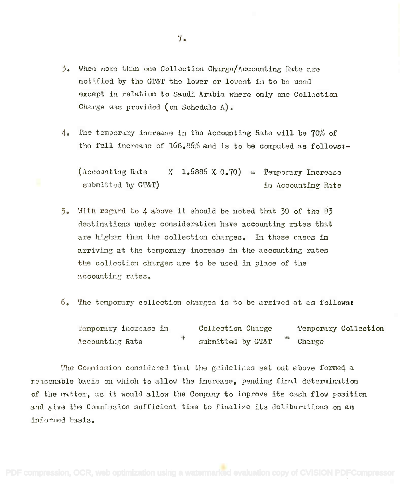- $3.$  When more than one Collection Charge/Accounting Rate are notified by the GT&T the lower or lowest is to be used except in relation to Saudi Arabia where only one Collection Charge was provided (on Schedule  $\Lambda$ ).
- 4. The temporary increase in the Accounting Rate will be 70% of the full increase of  $168.86%$  and is to be computed as follows:-

 $(\text{According Rate} \qquad \text{X} \quad \text{1.6886} \times \text{0.70}) = \text{Temperature}$  Increase submitted by GT&T) in Accounting Rate submitted by GT&T)

- 5. With regard to 4 above it should be noted that 30 of the 83 destinations under consideration have accounting rates that are higher than the collection charges. In these cases in arriving at the temporary increase in the accounting rates arriving at the temporary increase in the accounting rates the collection charges are to be used in place of the accounting rates.
- 6. The temporary collection charges is to be arrived at as follows:

Temporary increase in Collection Charge Temporary Collection Accounting Rate  $\overline{r}$  submitted by GT&T Charge Accounting Rate Collection Charge Temporary Col1eotion Charge

The Commission considered that the guidelines set out above formed a reasonable basis on which to allow the increase, pending final determination of the matter, as it would allow the Company to improve its cash flow position and give the Commission sufficient time to finalize its deliberations on an informed basis. informod basis.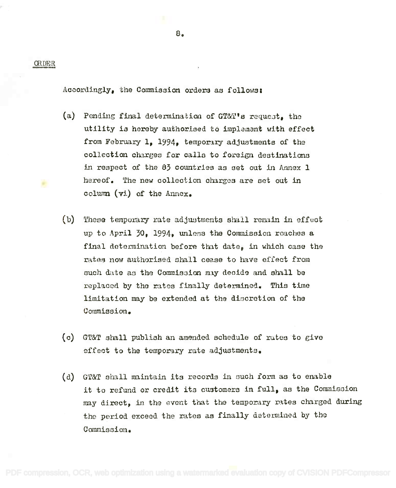ORDER

÷

Accordingly, the Commission orders as follows:

- (a) Pending final determination of GT&T's request, the utility is hereby authorised to implement with effect utility is hereby authorised to implement with effect from February 1, 1994, temporary adjustments of the collection charges for calls to foreign destinations collection charges for calls to foreign destinations in respect of the  $83$  countries as set out in Annex  $1$ hereof. The new collection charges are set out in column (vi) of the Annex. column (vi) of the Annex.
- (b) These temporary rate adjustments shall remain in effect up to April 30, 1994, unless the Commission reaches a final determination before that date, in which case the rates now authorised shall cease to have effect from such date as the Commission may decide and shall be replaced by the rates finally determined. This time replacen by the rates finally determined. This time limitation may be extended at the discretion of the limitation maybe extended at the discretion of the Commission. Commission.
- (c) GT&T shall publish an amended schedule of rates to give effect to the temporary rate adjustments. effect to the temporary rate adjustments.
- (d) GT&T shall maintain its records in such form as to enable it to refund or credit its customers in full, as the Commission may direct, in the event that the temporary rates charged during maydi.rect, in the event that the temporary rates charged during the period exceed the rates as finally determined by the Commission. Commission.